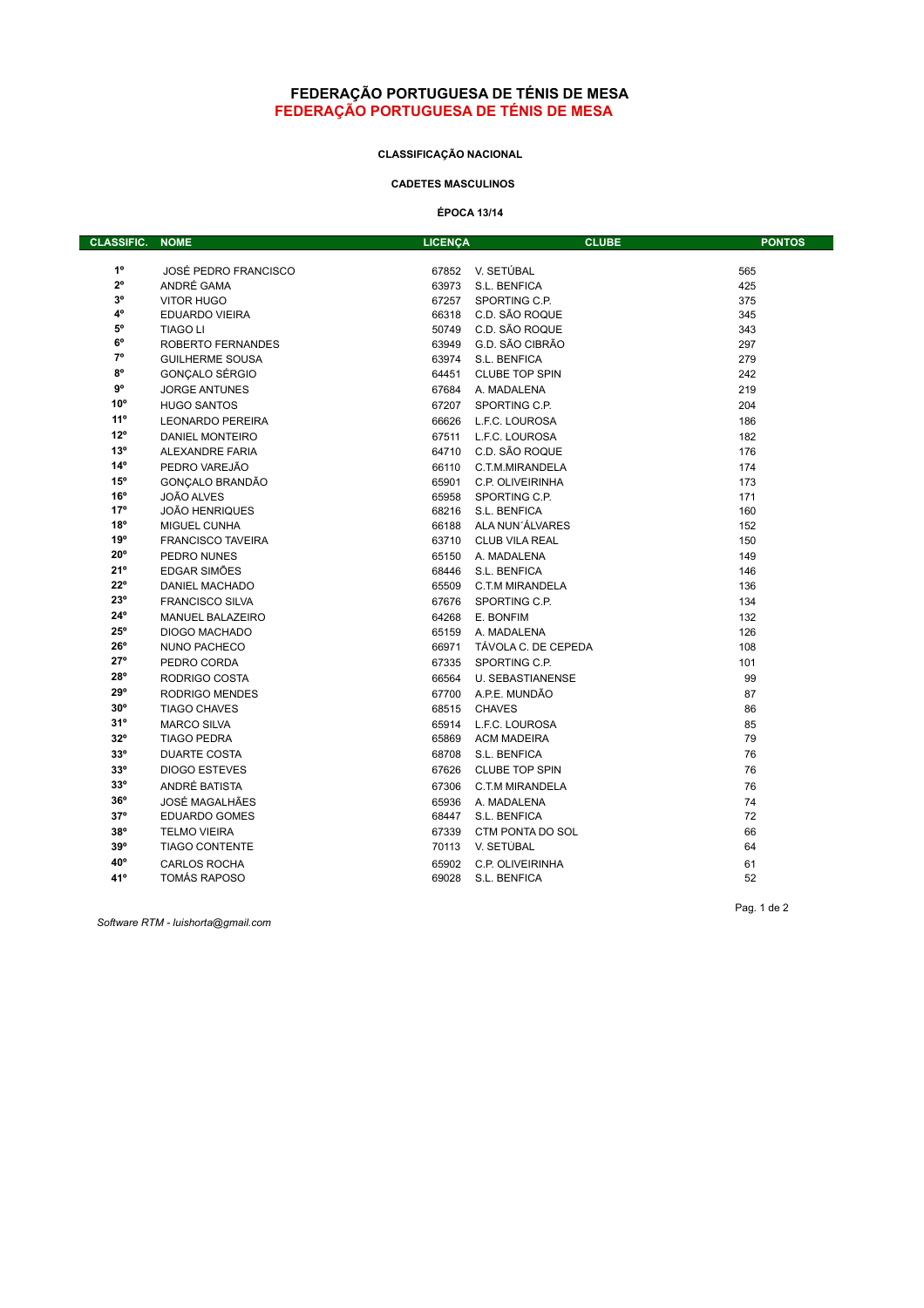#### **FEDERAÇÃO PORTUGUESA DE TÉNIS DE MESA FEDERAÇÃO PORTUGUESA DE TÉNIS DE MESA**

## **CLASSIFICAÇÃO NACIONAL**

### **CADETES MASCULINOS**

**ÉPOCA 13/14**

| <b>CLASSIFIC.</b> | <b>NOME</b>                 | <b>LICENÇA</b> | <b>CLUBE</b>            | <b>PONTOS</b> |
|-------------------|-----------------------------|----------------|-------------------------|---------------|
|                   |                             |                |                         |               |
| $1^{\circ}$       | <b>JOSÉ PEDRO FRANCISCO</b> | 67852          | V. SETÚBAL              | 565           |
| $2^{\circ}$       | ANDRÉ GAMA                  | 63973          | S.L. BENFICA            | 425           |
| $3^{\circ}$       | <b>VITOR HUGO</b>           | 67257          | SPORTING C.P.           | 375           |
| 4°                | <b>EDUARDO VIEIRA</b>       | 66318          | C.D. SÃO ROQUE          | 345           |
| 5°                | <b>TIAGO LI</b>             | 50749          | C.D. SÃO ROQUE          | 343           |
| $6^{\circ}$       | ROBERTO FERNANDES           |                | 63949 G.D. SÃO CIBRÃO   | 297           |
| $7^\circ$         | <b>GUILHERME SOUSA</b>      | 63974          | S.L. BENFICA            | 279           |
| $8^{\circ}$       | GONCALO SÉRGIO              | 64451          | <b>CLUBE TOP SPIN</b>   | 242           |
| $9^{\circ}$       | <b>JORGE ANTUNES</b>        | 67684          | A. MADALENA             | 219           |
| $10^{\circ}$      | <b>HUGO SANTOS</b>          | 67207          | SPORTING C.P.           | 204           |
| 11°               | <b>LEONARDO PEREIRA</b>     | 66626          | L.F.C. LOUROSA          | 186           |
| $12^{\circ}$      | <b>DANIEL MONTEIRO</b>      | 67511          | L.F.C. LOUROSA          | 182           |
| 13°               | <b>ALEXANDRE FARIA</b>      | 64710          | C.D. SÃO ROQUE          | 176           |
| $14^{\circ}$      | PEDRO VAREJÃO               | 66110          | C.T.M.MIRANDELA         | 174           |
| $15^{\circ}$      | GONCALO BRANDÃO             | 65901          | C.P. OLIVEIRINHA        | 173           |
| 16°               | JOÃO ALVES                  | 65958          | SPORTING C.P.           | 171           |
| 17°               | <b>JOÃO HENRIQUES</b>       | 68216          | S.L. BENFICA            | 160           |
| 18°               | <b>MIGUEL CUNHA</b>         | 66188          | ALA NUN'ÁLVARES         | 152           |
| 19°               | <b>FRANCISCO TAVEIRA</b>    | 63710          | <b>CLUB VILA REAL</b>   | 150           |
| $20^{\circ}$      | PEDRO NUNES                 | 65150          | A. MADALENA             | 149           |
| 21°               | EDGAR SIMÕES                | 68446          | S.L. BENFICA            | 146           |
| $22^{\circ}$      | <b>DANIEL MACHADO</b>       | 65509          | C.T.M MIRANDELA         | 136           |
| 23°               | <b>FRANCISCO SILVA</b>      | 67676          | SPORTING C.P.           | 134           |
| $24^{\circ}$      | <b>MANUEL BALAZEIRO</b>     | 64268          | E. BONFIM               | 132           |
| $25^{\circ}$      | <b>DIOGO MACHADO</b>        | 65159          | A. MADALENA             | 126           |
| $26^{\circ}$      | NUNO PACHECO                | 66971          | TÁVOLA C. DE CEPEDA     | 108           |
| $27^\circ$        | PEDRO CORDA                 | 67335          | SPORTING C.P.           | 101           |
| 28°               | RODRIGO COSTA               | 66564          | <b>U. SEBASTIANENSE</b> | 99            |
| 29°               | <b>RODRIGO MENDES</b>       | 67700          | A.P.E. MUNDÃO           | 87            |
| $30^\circ$        | <b>TIAGO CHAVES</b>         | 68515          | <b>CHAVES</b>           | 86            |
| 31°               | <b>MARCO SILVA</b>          | 65914          | L.F.C. LOUROSA          | 85            |
| $32^{\circ}$      | <b>TIAGO PEDRA</b>          | 65869          | <b>ACM MADEIRA</b>      | 79            |
| $33^{\circ}$      | <b>DUARTE COSTA</b>         | 68708          | S.L. BENFICA            | 76            |
| $33^{\circ}$      | <b>DIOGO ESTEVES</b>        | 67626          | <b>CLUBE TOP SPIN</b>   | 76            |
| $33^{\circ}$      | ANDRÉ BATISTA               | 67306          | C.T.M MIRANDELA         | 76            |
| $36^{\circ}$      | JOSÉ MAGALHÃES              | 65936          | A. MADALENA             | 74            |
| $37^\circ$        | <b>EDUARDO GOMES</b>        |                | 68447 S.L. BENFICA      | 72            |
| 38°               | <b>TELMO VIEIRA</b>         | 67339          | CTM PONTA DO SOL        | 66            |
| 39°               | <b>TIAGO CONTENTE</b>       | 70113          | V. SETÚBAL              | 64            |
| 40°               | <b>CARLOS ROCHA</b>         | 65902          | C.P. OLIVEIRINHA        | 61            |
| 41°               | <b>TOMÁS RAPOSO</b>         | 69028          | S.L. BENFICA            | 52            |

*Software RTM - luishorta@gmail.com*

Pag. 1 de 2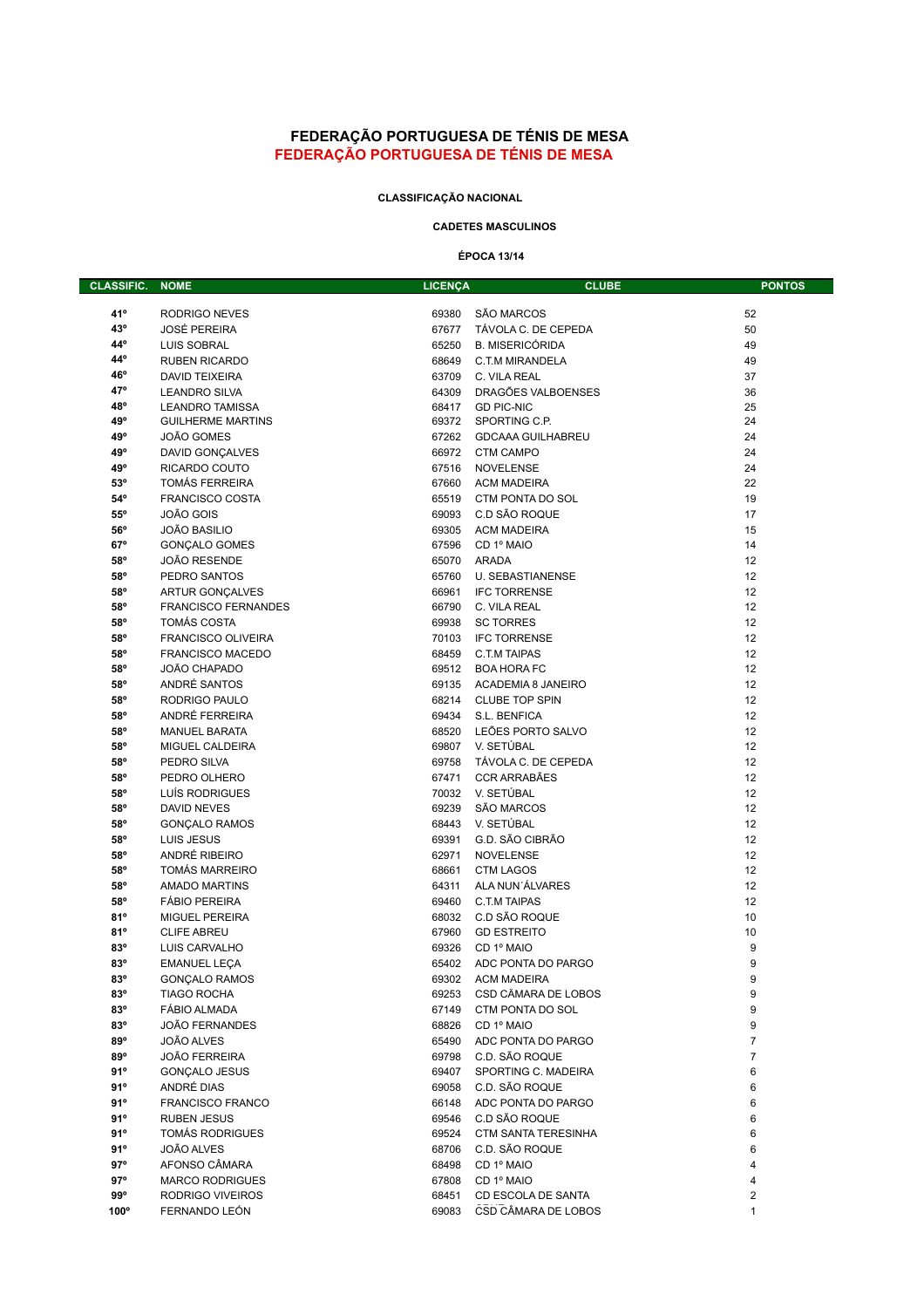## **FEDERAÇÃO PORTUGUESA DE TÉNIS DE MESA FEDERAÇÃO PORTUGUESA DE TÉNIS DE MESA**

### **CLASSIFICAÇÃO NACIONAL**

### **CADETES MASCULINOS**

## **ÉPOCA 13/14**

| <b>CLASSIFIC.</b> | <b>NOME</b>                                  | <b>LICENÇA</b> | <b>CLUBE</b>                        | <b>PONTOS</b>  |
|-------------------|----------------------------------------------|----------------|-------------------------------------|----------------|
|                   |                                              |                |                                     |                |
| 41°               | RODRIGO NEVES                                | 69380          | SÃO MARCOS                          | 52             |
| 43°               | <b>JOSÉ PEREIRA</b>                          | 67677          | TÁVOLA C. DE CEPEDA                 | 50             |
| 44°               | <b>LUIS SOBRAL</b>                           | 65250          | <b>B. MISERICÓRIDA</b>              | 49             |
| 44°               | <b>RUBEN RICARDO</b>                         | 68649          | C.T.M MIRANDELA                     | 49             |
| 46°               | <b>DAVID TEIXEIRA</b>                        | 63709          | C. VILA REAL                        | 37             |
| 47°               | <b>LEANDRO SILVA</b>                         | 64309          | DRAGÕES VALBOENSES                  | 36             |
| 48°               | <b>LEANDRO TAMISSA</b>                       | 68417<br>69372 | <b>GD PIC-NIC</b><br>SPORTING C.P.  | 25<br>24       |
| 49°<br>49°        | <b>GUILHERME MARTINS</b><br>JOÃO GOMES       | 67262          | <b>GDCAAA GUILHABREU</b>            | 24             |
| 49°               | <b>DAVID GONCALVES</b>                       | 66972          | <b>CTM CAMPO</b>                    | 24             |
| 49°               | RICARDO COUTO                                | 67516          | <b>NOVELENSE</b>                    | 24             |
| 53°               | <b>TOMÁS FERREIRA</b>                        | 67660          | <b>ACM MADEIRA</b>                  | 22             |
| 54°               | <b>FRANCISCO COSTA</b>                       | 65519          | CTM PONTA DO SOL                    | 19             |
| $55^{\circ}$      | JOÃO GOIS                                    | 69093          | C.D SÃO ROQUE                       | 17             |
| $56^{\circ}$      | <b>JOÃO BASILIO</b>                          | 69305          | <b>ACM MADEIRA</b>                  | 15             |
| 67°               | <b>GONÇALO GOMES</b>                         | 67596          | CD 1º MAIO                          | 14             |
| 58°               | JOÃO RESENDE                                 | 65070          | <b>ARADA</b>                        | 12             |
| 58°               | PEDRO SANTOS                                 | 65760          | <b>U. SEBASTIANENSE</b>             | 12             |
| 58°               | <b>ARTUR GONÇALVES</b>                       | 66961          | <b>IFC TORRENSE</b>                 | 12             |
| 58°               | <b>FRANCISCO FERNANDES</b>                   | 66790          | C. VILA REAL                        | 12             |
| 58°               | <b>TOMÁS COSTA</b>                           | 69938          | <b>SC TORRES</b>                    | 12             |
| 58°               | <b>FRANCISCO OLIVEIRA</b>                    | 70103          | <b>IFC TORRENSE</b>                 | 12             |
| 58°               | <b>FRANCISCO MACEDO</b>                      | 68459          | C.T.M TAIPAS                        | 12             |
| 58°               | JOÃO CHAPADO                                 | 69512          | <b>BOA HORA FC</b>                  | 12             |
| 58°               | ANDRÉ SANTOS                                 | 69135          | ACADEMIA 8 JANEIRO                  | 12             |
| 58°               | RODRIGO PAULO                                | 68214          | <b>CLUBE TOP SPIN</b>               | 12             |
| 58°               | ANDRÉ FERREIRA                               | 69434          | S.L. BENFICA                        | 12             |
| 58°               | <b>MANUEL BARATA</b>                         | 68520          | LEÕES PORTO SALVO                   | 12             |
| 58°               | MIGUEL CALDEIRA                              |                | 69807 V. SETÚBAL                    | 12             |
| 58°               | PEDRO SILVA                                  | 69758          | TÁVOLA C. DE CEPEDA                 | 12             |
| 58°               | PEDRO OLHERO                                 | 67471          | <b>CCR ARRABÃES</b>                 | 12             |
| 58°               | LUÍS RODRIGUES                               |                | 70032 V. SETÚBAL                    | 12             |
| 58°               | <b>DAVID NEVES</b>                           | 69239          | <b>SÃO MARCOS</b>                   | 12             |
| 58°               | <b>GONÇALO RAMOS</b>                         | 68443          | V. SETÚBAL                          | 12             |
| 58°               | LUIS JESUS                                   | 69391          | G.D. SÃO CIBRÃO                     | 12             |
| 58°               | ANDRÉ RIBEIRO                                | 62971          | <b>NOVELENSE</b>                    | 12             |
| 58°               | <b>TOMÁS MARREIRO</b>                        | 68661          | <b>CTM LAGOS</b><br>ALA NUN'ÁLVARES | 12<br>12       |
| 58°<br>58°        | <b>AMADO MARTINS</b><br><b>FÁBIO PEREIRA</b> | 64311<br>69460 | <b>C.T.M TAIPAS</b>                 | 12             |
| 81°               | <b>MIGUEL PEREIRA</b>                        | 68032          | C.D SÃO ROQUE                       | 10             |
| 81°               | <b>CLIFE ABREU</b>                           | 67960          | <b>GD ESTREITO</b>                  | 10             |
| 83°               | LUIS CARVALHO                                | 69326          | CD 1º MAIO                          | 9              |
| 83°               | <b>EMANUEL LEÇA</b>                          | 65402          | ADC PONTA DO PARGO                  | 9              |
| $83^{\circ}$      | <b>GONÇALO RAMOS</b>                         | 69302          | ACM MADEIRA                         | 9              |
| 83°               | <b>TIAGO ROCHA</b>                           | 69253          | CSD CÂMARA DE LOBOS                 | 9              |
| 83°               | FÁBIO ALMADA                                 | 67149          | CTM PONTA DO SOL                    | 9              |
| $83^\circ$        | <b>JOÃO FERNANDES</b>                        | 68826          | CD 1º MAIO                          | 9              |
| 89°               | JOÃO ALVES                                   | 65490          | ADC PONTA DO PARGO                  | $\overline{7}$ |
| $89^\circ$        | JOÃO FERREIRA                                | 69798          | C.D. SÃO ROQUE                      | 7              |
| 91°               | <b>GONCALO JESUS</b>                         | 69407          | SPORTING C. MADEIRA                 | 6              |
| 91°               | ANDRÉ DIAS                                   | 69058          | C.D. SÃO ROQUE                      | 6              |
| 91°               | <b>FRANCISCO FRANCO</b>                      | 66148          | ADC PONTA DO PARGO                  | 6              |
| 91°               | <b>RUBEN JESUS</b>                           | 69546          | C.D SÃO ROQUE                       | 6              |
| 91°               | <b>TOMÁS RODRIGUES</b>                       | 69524          | <b>CTM SANTA TERESINHA</b>          | 6              |
| 91°               | JOÃO ALVES                                   | 68706          | C.D. SÃO ROQUE                      | 6              |
| $97^\circ$        | AFONSO CÂMARA                                | 68498          | CD 1º MAIO                          | 4              |
| $97^\circ$        | <b>MARCO RODRIGUES</b>                       | 67808          | CD 1º MAIO                          | 4              |
| $99^\circ$        | RODRIGO VIVEIROS                             | 68451          | CD ESCOLA DE SANTA                  | 2              |
| 100°              | FERNANDO LEÓN                                | 69083          | CSD CÂMARA DE LOBOS                 | 1              |